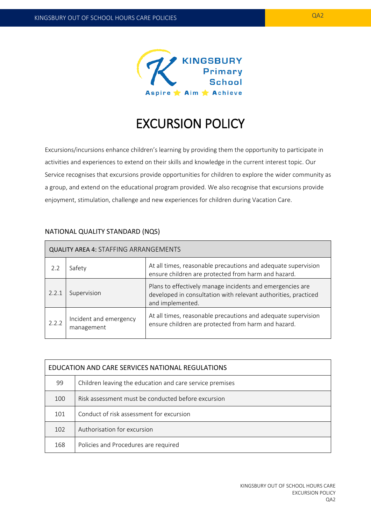

# EXCURSION POLICY

Excursions/incursions enhance children's learning by providing them the opportunity to participate in activities and experiences to extend on their skills and knowledge in the current interest topic. Our Service recognises that excursions provide opportunities for children to explore the wider community as a group, and extend on the educational program provided. We also recognise that excursions provide enjoyment, stimulation, challenge and new experiences for children during Vacation Care.

| <b>QUALITY AREA 4: STAFFING ARRANGEMENTS</b> |                                      |                                                                                                                                                 |  |  |
|----------------------------------------------|--------------------------------------|-------------------------------------------------------------------------------------------------------------------------------------------------|--|--|
| 2.2                                          | Safety                               | At all times, reasonable precautions and adequate supervision<br>ensure children are protected from harm and hazard.                            |  |  |
| 2.2.1                                        | Supervision                          | Plans to effectively manage incidents and emergencies are<br>developed in consultation with relevant authorities, practiced<br>and implemented. |  |  |
| 2.2.2                                        | Incident and emergency<br>management | At all times, reasonable precautions and adequate supervision<br>ensure children are protected from harm and hazard.                            |  |  |

## NATIONAL QUALITY STANDARD (NQS)

| EDUCATION AND CARE SERVICES NATIONAL REGULATIONS |                                                          |  |  |
|--------------------------------------------------|----------------------------------------------------------|--|--|
| 99                                               | Children leaving the education and care service premises |  |  |
| 100                                              | Risk assessment must be conducted before excursion       |  |  |
| 101                                              | Conduct of risk assessment for excursion                 |  |  |
| 102                                              | Authorisation for excursion                              |  |  |
| 168                                              | Policies and Procedures are required                     |  |  |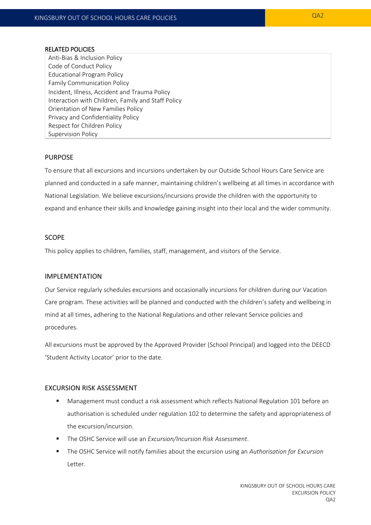#### RELATED POLICIES

Anti-Bias & Inclusion Policy Code of Conduct Policy Educational Program Policy Family Communication Policy Incident, Illness, Accident and Trauma Policy Interaction with Children, Family and Staff Policy Orientation of New Families Policy Privacy and Confidentiality Policy Respect for Children Policy Supervision Policy

#### PURPOSE

To ensure that all excursions and incursions undertaken by our Outside School Hours Care Service are planned and conducted in a safe manner, maintaining children's wellbeing at all times in accordance with National Legislation. We believe excursions/incursions provide the children with the opportunity to expand and enhance their skills and knowledge gaining insight into their local and the wider community.

#### SCOPE

This policy applies to children, families, staff, management, and visitors of the Service.

#### IMPLEMENTATION

Our Service regularly schedules excursions and occasionally incursions for children during our Vacation Care program. These activities will be planned and conducted with the children's safety and wellbeing in mind at all times, adhering to the National Regulations and other relevant Service policies and procedures.

All excursions must be approved by the Approved Provider (School Principal) and logged into the DEECD 'Student Activity Locator' prior to the date.

#### EXCURSION RISK ASSESSMENT

- Management must conduct a risk assessment which reflects National Regulation 101 before an authorisation is scheduled under regulation 102 to determine the safety and appropriateness of the excursion/incursion.
- The OSHC Service will use an *Excursion/Incursion Risk Assessment*.
- The OSHC Service will notify families about the excursion using an *Authorisation for Excursion* Letter.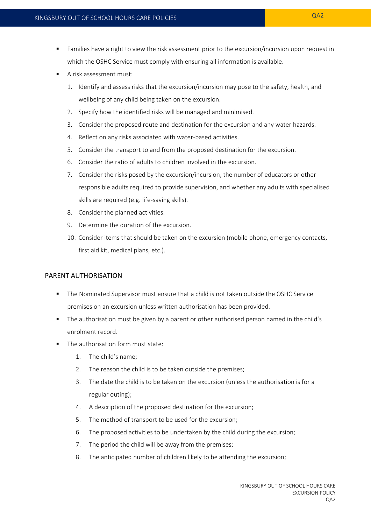- Families have a right to view the risk assessment prior to the excursion/incursion upon request in which the OSHC Service must comply with ensuring all information is available.
- A risk assessment must:
	- 1. Identify and assess risks that the excursion/incursion may pose to the safety, health, and wellbeing of any child being taken on the excursion.
	- 2. Specify how the identified risks will be managed and minimised.
	- 3. Consider the proposed route and destination for the excursion and any water hazards.
	- 4. Reflect on any risks associated with water-based activities.
	- 5. Consider the transport to and from the proposed destination for the excursion.
	- 6. Consider the ratio of adults to children involved in the excursion.
	- 7. Consider the risks posed by the excursion/incursion, the number of educators or other responsible adults required to provide supervision, and whether any adults with specialised skills are required (e.g. life-saving skills).
	- 8. Consider the planned activities.
	- 9. Determine the duration of the excursion.
	- 10. Consider items that should be taken on the excursion (mobile phone, emergency contacts, first aid kit, medical plans, etc.).

### PARENT AUTHORISATION

- The Nominated Supervisor must ensure that a child is not taken outside the OSHC Service premises on an excursion unless written authorisation has been provided.
- The authorisation must be given by a parent or other authorised person named in the child's enrolment record.
- The authorisation form must state:
	- 1. The child's name;
	- 2. The reason the child is to be taken outside the premises;
	- 3. The date the child is to be taken on the excursion (unless the authorisation is for a regular outing);
	- 4. A description of the proposed destination for the excursion;
	- 5. The method of transport to be used for the excursion;
	- 6. The proposed activities to be undertaken by the child during the excursion;
	- 7. The period the child will be away from the premises;
	- 8. The anticipated number of children likely to be attending the excursion;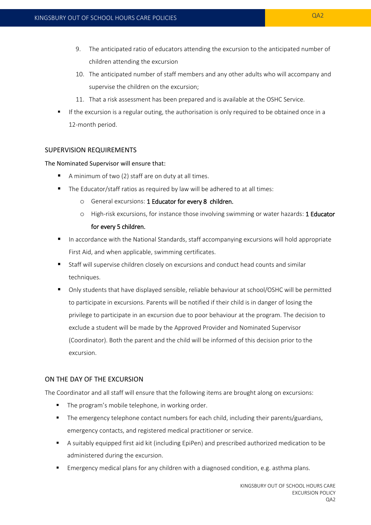- 9. The anticipated ratio of educators attending the excursion to the anticipated number of children attending the excursion
- 10. The anticipated number of staff members and any other adults who will accompany and supervise the children on the excursion;
- 11. That a risk assessment has been prepared and is available at the OSHC Service.
- If the excursion is a regular outing, the authorisation is only required to be obtained once in a 12-month period.

## SUPERVISION REQUIREMENTS

#### The Nominated Supervisor will ensure that:

- A minimum of two (2) staff are on duty at all times.
- The Educator/staff ratios as required by law will be adhered to at all times:
	- o General excursions: 1 Educator for every 8 children.
	- o High-risk excursions, for instance those involving swimming or water hazards: 1 Educator for every 5 children.
- In accordance with the National Standards, staff accompanying excursions will hold appropriate First Aid, and when applicable, swimming certificates.
- Staff will supervise children closely on excursions and conduct head counts and similar techniques.
- Only students that have displayed sensible, reliable behaviour at school/OSHC will be permitted to participate in excursions. Parents will be notified if their child is in danger of losing the privilege to participate in an excursion due to poor behaviour at the program. The decision to exclude a student will be made by the Approved Provider and Nominated Supervisor (Coordinator). Both the parent and the child will be informed of this decision prior to the excursion.

### ON THE DAY OF THE EXCURSION

The Coordinator and all staff will ensure that the following items are brought along on excursions:

- **The program's mobile telephone, in working order.**
- **The emergency telephone contact numbers for each child, including their parents/guardians,** emergency contacts, and registered medical practitioner or service.
- A suitably equipped first aid kit (including EpiPen) and prescribed authorized medication to be administered during the excursion.
- Emergency medical plans for any children with a diagnosed condition, e.g. asthma plans.